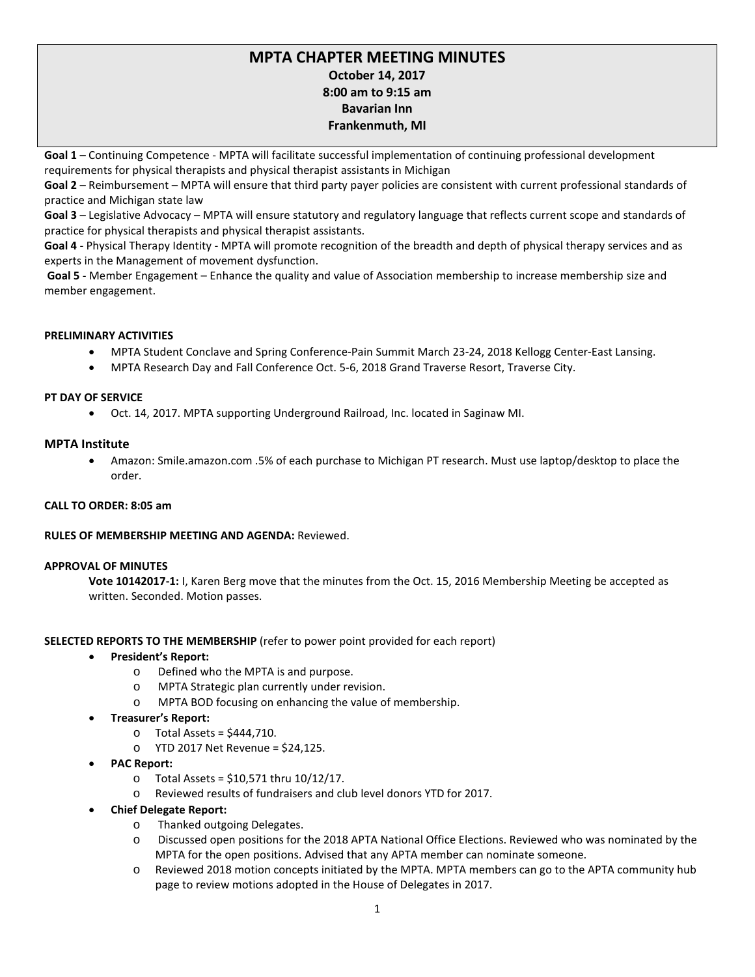# **MPTA CHAPTER MEETING MINUTES October 14, 2017 8:00 am to 9:15 am Bavarian Inn Frankenmuth, MI**

**Goal 1** – Continuing Competence - MPTA will facilitate successful implementation of continuing professional development requirements for physical therapists and physical therapist assistants in Michigan

**Goal 2** – Reimbursement – MPTA will ensure that third party payer policies are consistent with current professional standards of practice and Michigan state law

**Goal 3** – Legislative Advocacy – MPTA will ensure statutory and regulatory language that reflects current scope and standards of practice for physical therapists and physical therapist assistants.

**Goal 4** - Physical Therapy Identity - MPTA will promote recognition of the breadth and depth of physical therapy services and as experts in the Management of movement dysfunction.

**Goal 5** - Member Engagement – Enhance the quality and value of Association membership to increase membership size and member engagement.

### **PRELIMINARY ACTIVITIES**

- MPTA Student Conclave and Spring Conference-Pain Summit March 23-24, 2018 Kellogg Center-East Lansing.
- MPTA Research Day and Fall Conference Oct. 5-6, 2018 Grand Traverse Resort, Traverse City.

### **PT DAY OF SERVICE**

• Oct. 14, 2017. MPTA supporting Underground Railroad, Inc. located in Saginaw MI.

### **MPTA Institute**

• Amazon: Smile.amazon.com .5% of each purchase to Michigan PT research. Must use laptop/desktop to place the order.

### **CALL TO ORDER: 8:05 am**

### **RULES OF MEMBERSHIP MEETING AND AGENDA:** Reviewed.

### **APPROVAL OF MINUTES**

**Vote 10142017-1:** I, Karen Berg move that the minutes from the Oct. 15, 2016 Membership Meeting be accepted as written. Seconded. Motion passes.

### **SELECTED REPORTS TO THE MEMBERSHIP** (refer to power point provided for each report)

- **President's Report:**
	- o Defined who the MPTA is and purpose.
	- o MPTA Strategic plan currently under revision.
	- o MPTA BOD focusing on enhancing the value of membership.
- **Treasurer's Report:** 
	- o Total Assets = \$444,710.
	- o YTD 2017 Net Revenue = \$24,125.
- **PAC Report:**
	- $\circ$  Total Assets = \$10.571 thru 10/12/17.
	- o Reviewed results of fundraisers and club level donors YTD for 2017.
- **Chief Delegate Report:**
	- o Thanked outgoing Delegates.
	- o Discussed open positions for the 2018 APTA National Office Elections. Reviewed who was nominated by the MPTA for the open positions. Advised that any APTA member can nominate someone.
	- o Reviewed 2018 motion concepts initiated by the MPTA. MPTA members can go to the APTA community hub page to review motions adopted in the House of Delegates in 2017.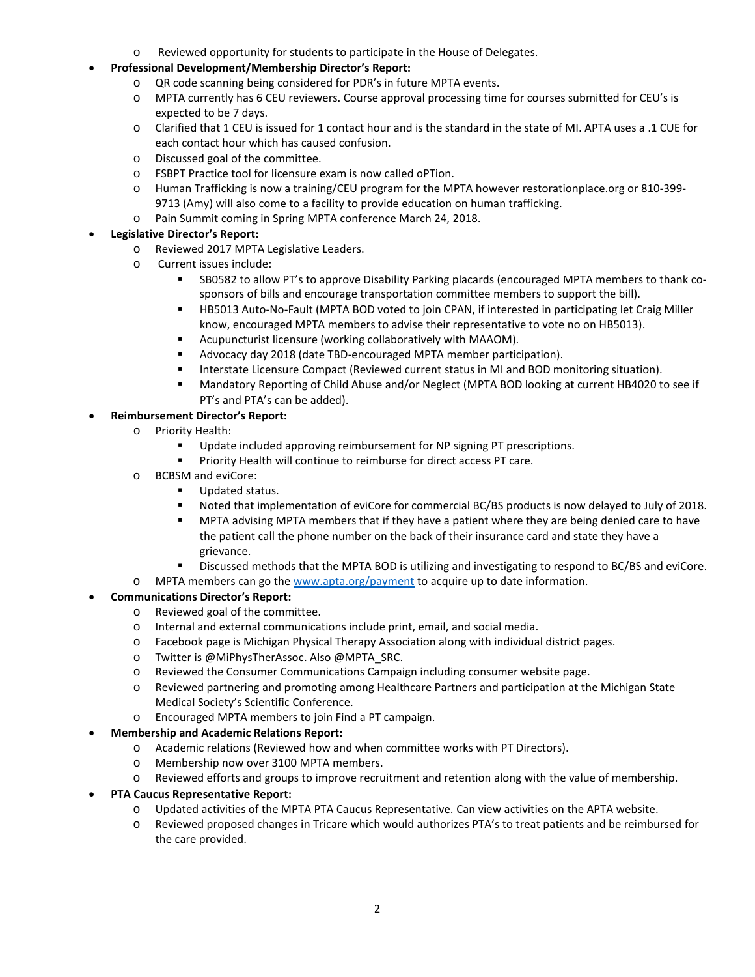- o Reviewed opportunity for students to participate in the House of Delegates.
- **Professional Development/Membership Director's Report:** 
	- o QR code scanning being considered for PDR's in future MPTA events.
	- o MPTA currently has 6 CEU reviewers. Course approval processing time for courses submitted for CEU's is expected to be 7 days.
	- o Clarified that 1 CEU is issued for 1 contact hour and is the standard in the state of MI. APTA uses a .1 CUE for each contact hour which has caused confusion.
	- o Discussed goal of the committee.
	- o FSBPT Practice tool for licensure exam is now called oPTion.
	- o Human Trafficking is now a training/CEU program for the MPTA however restorationplace.org or 810-399- 9713 (Amy) will also come to a facility to provide education on human trafficking.
	- o Pain Summit coming in Spring MPTA conference March 24, 2018.

### • **Legislative Director's Report:**

- o Reviewed 2017 MPTA Legislative Leaders.
- o Current issues include:
	- SB0582 to allow PT's to approve Disability Parking placards (encouraged MPTA members to thank cosponsors of bills and encourage transportation committee members to support the bill).
	- HB5013 Auto-No-Fault (MPTA BOD voted to join CPAN, if interested in participating let Craig Miller know, encouraged MPTA members to advise their representative to vote no on HB5013).
	- Acupuncturist licensure (working collaboratively with MAAOM).
	- Advocacy day 2018 (date TBD-encouraged MPTA member participation).
	- **Interstate Licensure Compact (Reviewed current status in MI and BOD monitoring situation).**
	- Mandatory Reporting of Child Abuse and/or Neglect (MPTA BOD looking at current HB4020 to see if PT's and PTA's can be added).

### • **Reimbursement Director's Report:**

- o Priority Health:
	- Update included approving reimbursement for NP signing PT prescriptions.
	- **Priority Health will continue to reimburse for direct access PT care.**
- o BCBSM and eviCore:
	- Updated status.
	- **Noted that implementation of eviCore for commercial BC/BS products is now delayed to July of 2018.**
	- MPTA advising MPTA members that if they have a patient where they are being denied care to have the patient call the phone number on the back of their insurance card and state they have a grievance.
	- Discussed methods that the MPTA BOD is utilizing and investigating to respond to BC/BS and eviCore.
- o MPTA members can go the [www.apta.org/payment](http://www.apta.org/payment) to acquire up to date information.

## • **Communications Director's Report:**

- o Reviewed goal of the committee.
- o Internal and external communications include print, email, and social media.
- o Facebook page is Michigan Physical Therapy Association along with individual district pages.
- o Twitter is @MiPhysTherAssoc. Also @MPTA\_SRC.
- o Reviewed the Consumer Communications Campaign including consumer website page.
- o Reviewed partnering and promoting among Healthcare Partners and participation at the Michigan State Medical Society's Scientific Conference.
- o Encouraged MPTA members to join Find a PT campaign.

### • **Membership and Academic Relations Report:**

- o Academic relations (Reviewed how and when committee works with PT Directors).
- o Membership now over 3100 MPTA members.
- o Reviewed efforts and groups to improve recruitment and retention along with the value of membership.

## • **PTA Caucus Representative Report:**

- o Updated activities of the MPTA PTA Caucus Representative. Can view activities on the APTA website.
- o Reviewed proposed changes in Tricare which would authorizes PTA's to treat patients and be reimbursed for the care provided.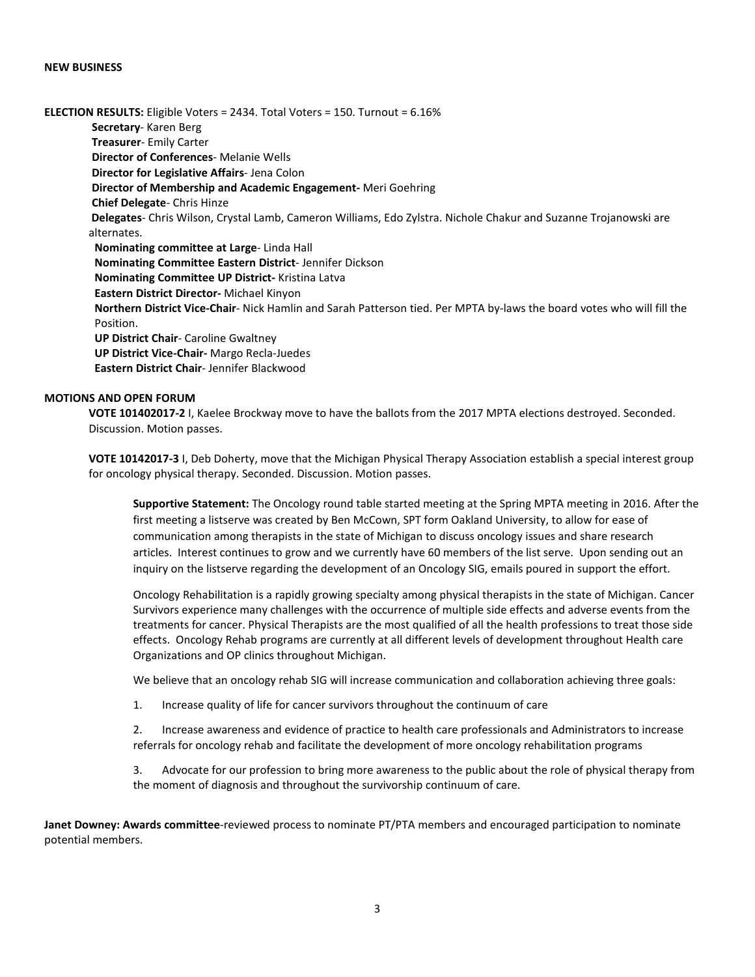#### **NEW BUSINESS**

**ELECTION RESULTS:** Eligible Voters = 2434. Total Voters = 150. Turnout = 6.16%  **Secretary**- Karen Berg **Treasurer**- Emily Carter **Director of Conferences**- Melanie Wells **Director for Legislative Affairs**- Jena Colon **Director of Membership and Academic Engagement-** Meri Goehring **Chief Delegate**- Chris Hinze **Delegates**- Chris Wilson, Crystal Lamb, Cameron Williams, Edo Zylstra. Nichole Chakur and Suzanne Trojanowski are alternates. **Nominating committee at Large**- Linda Hall **Nominating Committee Eastern District**- Jennifer Dickson **Nominating Committee UP District-** Kristina Latva **Eastern District Director-** Michael Kinyon **Northern District Vice-Chair**- Nick Hamlin and Sarah Patterson tied. Per MPTA by-laws the board votes who will fill the Position.  **UP District Chair**- Caroline Gwaltney **UP District Vice-Chair-** Margo Recla-Juedes **Eastern District Chair**- Jennifer Blackwood

### **MOTIONS AND OPEN FORUM**

**VOTE 101402017-2** I, Kaelee Brockway move to have the ballots from the 2017 MPTA elections destroyed. Seconded. Discussion. Motion passes.

**VOTE 10142017-3** I, Deb Doherty, move that the Michigan Physical Therapy Association establish a special interest group for oncology physical therapy. Seconded. Discussion. Motion passes.

**Supportive Statement:** The Oncology round table started meeting at the Spring MPTA meeting in 2016. After the first meeting a listserve was created by Ben McCown, SPT form Oakland University, to allow for ease of communication among therapists in the state of Michigan to discuss oncology issues and share research articles. Interest continues to grow and we currently have 60 members of the list serve. Upon sending out an inquiry on the listserve regarding the development of an Oncology SIG, emails poured in support the effort.

Oncology Rehabilitation is a rapidly growing specialty among physical therapists in the state of Michigan. Cancer Survivors experience many challenges with the occurrence of multiple side effects and adverse events from the treatments for cancer. Physical Therapists are the most qualified of all the health professions to treat those side effects. Oncology Rehab programs are currently at all different levels of development throughout Health care Organizations and OP clinics throughout Michigan.

We believe that an oncology rehab SIG will increase communication and collaboration achieving three goals:

1. Increase quality of life for cancer survivors throughout the continuum of care

2. Increase awareness and evidence of practice to health care professionals and Administrators to increase referrals for oncology rehab and facilitate the development of more oncology rehabilitation programs

3. Advocate for our profession to bring more awareness to the public about the role of physical therapy from the moment of diagnosis and throughout the survivorship continuum of care.

**Janet Downey: Awards committee**-reviewed process to nominate PT/PTA members and encouraged participation to nominate potential members.